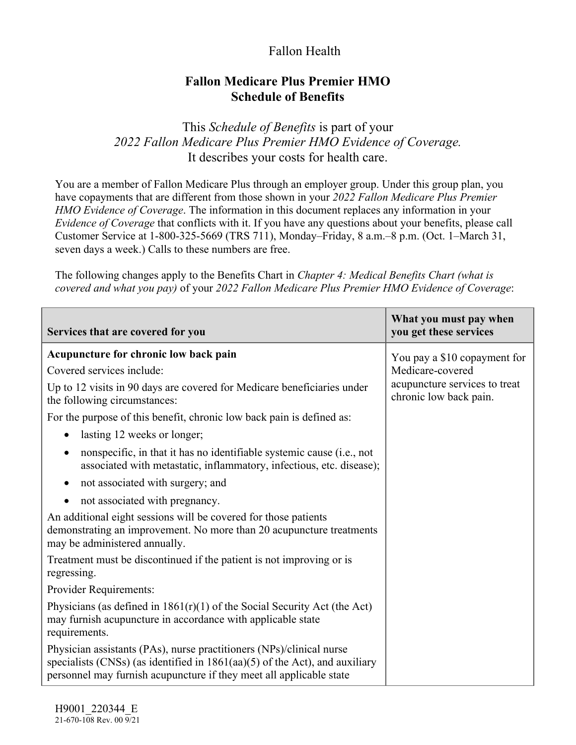## Fallon Health

## **Fallon Medicare Plus Premier HMO Schedule of Benefits**

This *Schedule of Benefits* is part of your *2022 Fallon Medicare Plus Premier HMO Evidence of Coverage.*  It describes your costs for health care.

You are a member of Fallon Medicare Plus through an employer group. Under this group plan, you have copayments that are different from those shown in your *2022 Fallon Medicare Plus Premier HMO Evidence of Coverage*. The information in this document replaces any information in your *Evidence of Coverage* that conflicts with it. If you have any questions about your benefits, please call Customer Service at 1-800-325-5669 (TRS 711), Monday–Friday, 8 a.m.–8 p.m. (Oct. 1–March 31, seven days a week.) Calls to these numbers are free.

The following changes apply to the Benefits Chart in *Chapter 4: Medical Benefits Chart (what is covered and what you pay)* of your *2022 Fallon Medicare Plus Premier HMO Evidence of Coverage*:

| Services that are covered for you                                                                                                                                                                                            | What you must pay when<br>you get these services        |
|------------------------------------------------------------------------------------------------------------------------------------------------------------------------------------------------------------------------------|---------------------------------------------------------|
| Acupuncture for chronic low back pain                                                                                                                                                                                        | You pay a \$10 copayment for                            |
| Covered services include:                                                                                                                                                                                                    | Medicare-covered                                        |
| Up to 12 visits in 90 days are covered for Medicare beneficiaries under<br>the following circumstances:                                                                                                                      | acupuncture services to treat<br>chronic low back pain. |
| For the purpose of this benefit, chronic low back pain is defined as:                                                                                                                                                        |                                                         |
| lasting 12 weeks or longer;<br>$\bullet$                                                                                                                                                                                     |                                                         |
| nonspecific, in that it has no identifiable systemic cause (i.e., not<br>$\bullet$<br>associated with metastatic, inflammatory, infectious, etc. disease);                                                                   |                                                         |
| not associated with surgery; and<br>$\bullet$                                                                                                                                                                                |                                                         |
| not associated with pregnancy.<br>$\bullet$                                                                                                                                                                                  |                                                         |
| An additional eight sessions will be covered for those patients<br>demonstrating an improvement. No more than 20 acupuncture treatments<br>may be administered annually.                                                     |                                                         |
| Treatment must be discontinued if the patient is not improving or is<br>regressing.                                                                                                                                          |                                                         |
| Provider Requirements:                                                                                                                                                                                                       |                                                         |
| Physicians (as defined in $1861(r)(1)$ of the Social Security Act (the Act)<br>may furnish acupuncture in accordance with applicable state<br>requirements.                                                                  |                                                         |
| Physician assistants (PAs), nurse practitioners (NPs)/clinical nurse<br>specialists (CNSs) (as identified in $1861(aa)(5)$ of the Act), and auxiliary<br>personnel may furnish acupuncture if they meet all applicable state |                                                         |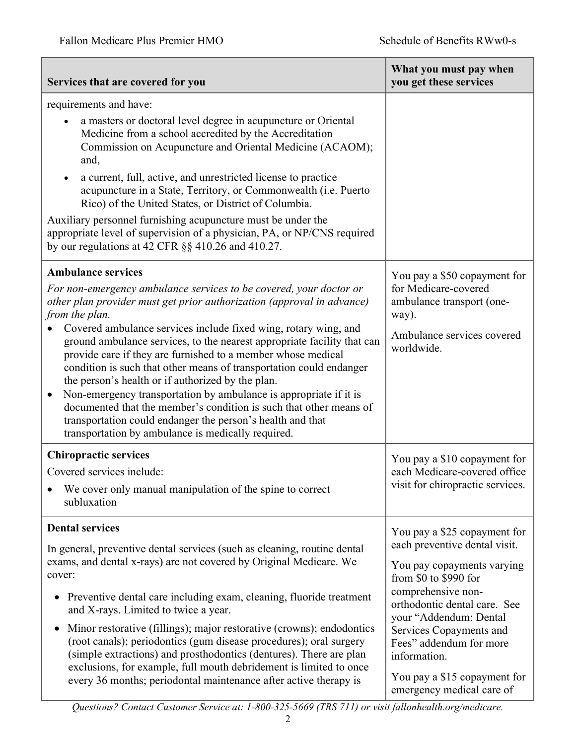| Services that are covered for you                                                                                                                                                                                                                                                                                                                                                                                                                                                                                                                                                                                                                                                                                                                                                                                 | What you must pay when<br>you get these services                                                                                                                                                                                                                                                                                        |
|-------------------------------------------------------------------------------------------------------------------------------------------------------------------------------------------------------------------------------------------------------------------------------------------------------------------------------------------------------------------------------------------------------------------------------------------------------------------------------------------------------------------------------------------------------------------------------------------------------------------------------------------------------------------------------------------------------------------------------------------------------------------------------------------------------------------|-----------------------------------------------------------------------------------------------------------------------------------------------------------------------------------------------------------------------------------------------------------------------------------------------------------------------------------------|
| requirements and have:<br>a masters or doctoral level degree in acupuncture or Oriental<br>Medicine from a school accredited by the Accreditation<br>Commission on Acupuncture and Oriental Medicine (ACAOM);<br>and,<br>a current, full, active, and unrestricted license to practice<br>acupuncture in a State, Territory, or Commonwealth (i.e. Puerto<br>Rico) of the United States, or District of Columbia.<br>Auxiliary personnel furnishing acupuncture must be under the<br>appropriate level of supervision of a physician, PA, or NP/CNS required<br>by our regulations at 42 CFR §§ 410.26 and 410.27.                                                                                                                                                                                                |                                                                                                                                                                                                                                                                                                                                         |
| <b>Ambulance services</b><br>For non-emergency ambulance services to be covered, your doctor or<br>other plan provider must get prior authorization (approval in advance)<br>from the plan.<br>Covered ambulance services include fixed wing, rotary wing, and<br>ground ambulance services, to the nearest appropriate facility that can<br>provide care if they are furnished to a member whose medical<br>condition is such that other means of transportation could endanger<br>the person's health or if authorized by the plan.<br>Non-emergency transportation by ambulance is appropriate if it is<br>$\bullet$<br>documented that the member's condition is such that other means of<br>transportation could endanger the person's health and that<br>transportation by ambulance is medically required. | You pay a \$50 copayment for<br>for Medicare-covered<br>ambulance transport (one-<br>way).<br>Ambulance services covered<br>worldwide.                                                                                                                                                                                                  |
| <b>Chiropractic services</b><br>Covered services include:<br>We cover only manual manipulation of the spine to correct<br>subluxation                                                                                                                                                                                                                                                                                                                                                                                                                                                                                                                                                                                                                                                                             | You pay a \$10 copayment for<br>each Medicare-covered office<br>visit for chiropractic services.                                                                                                                                                                                                                                        |
| <b>Dental services</b><br>In general, preventive dental services (such as cleaning, routine dental<br>exams, and dental x-rays) are not covered by Original Medicare. We<br>cover:<br>Preventive dental care including exam, cleaning, fluoride treatment<br>and X-rays. Limited to twice a year.<br>Minor restorative (fillings); major restorative (crowns); endodontics<br>(root canals); periodontics (gum disease procedures); oral surgery<br>(simple extractions) and prosthodontics (dentures). There are plan<br>exclusions, for example, full mouth debridement is limited to once<br>every 36 months; periodontal maintenance after active therapy is                                                                                                                                                  | You pay a \$25 copayment for<br>each preventive dental visit.<br>You pay copayments varying<br>from \$0 to \$990 for<br>comprehensive non-<br>orthodontic dental care. See<br>your "Addendum: Dental<br>Services Copayments and<br>Fees" addendum for more<br>information.<br>You pay a \$15 copayment for<br>emergency medical care of |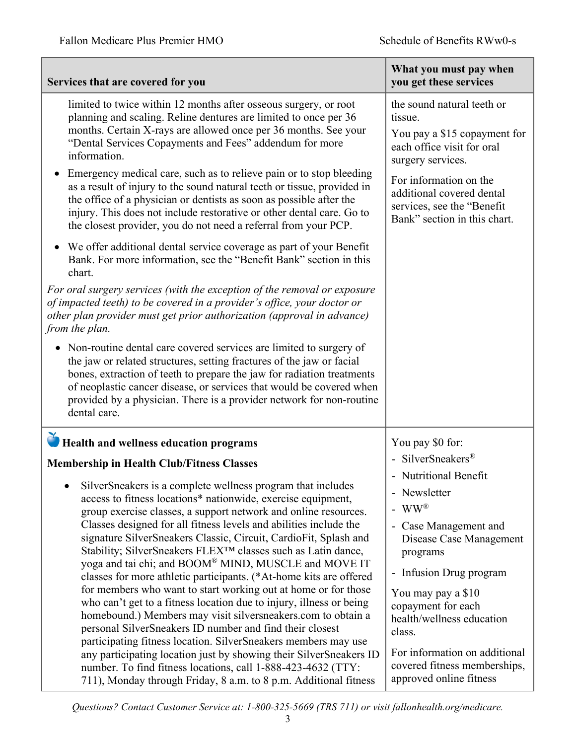| Services that are covered for you                                                                                                                                                                                                                                                                                                                                                                                                                                                                                                                                                                                                                                                                                                                                                                                                                                                                                                                                                                                                                                                                                                                                                                                                                                                                                                                                                                                                          | What you must pay when<br>you get these services                                                                                                                                                                                                                                                                                                                                                                               |
|--------------------------------------------------------------------------------------------------------------------------------------------------------------------------------------------------------------------------------------------------------------------------------------------------------------------------------------------------------------------------------------------------------------------------------------------------------------------------------------------------------------------------------------------------------------------------------------------------------------------------------------------------------------------------------------------------------------------------------------------------------------------------------------------------------------------------------------------------------------------------------------------------------------------------------------------------------------------------------------------------------------------------------------------------------------------------------------------------------------------------------------------------------------------------------------------------------------------------------------------------------------------------------------------------------------------------------------------------------------------------------------------------------------------------------------------|--------------------------------------------------------------------------------------------------------------------------------------------------------------------------------------------------------------------------------------------------------------------------------------------------------------------------------------------------------------------------------------------------------------------------------|
| limited to twice within 12 months after osseous surgery, or root<br>planning and scaling. Reline dentures are limited to once per 36<br>months. Certain X-rays are allowed once per 36 months. See your<br>"Dental Services Copayments and Fees" addendum for more<br>information.<br>Emergency medical care, such as to relieve pain or to stop bleeding<br>as a result of injury to the sound natural teeth or tissue, provided in<br>the office of a physician or dentists as soon as possible after the<br>injury. This does not include restorative or other dental care. Go to<br>the closest provider, you do not need a referral from your PCP.<br>We offer additional dental service coverage as part of your Benefit<br>Bank. For more information, see the "Benefit Bank" section in this<br>chart.<br>For oral surgery services (with the exception of the removal or exposure<br>of impacted teeth) to be covered in a provider's office, your doctor or<br>other plan provider must get prior authorization (approval in advance)<br>from the plan.<br>Non-routine dental care covered services are limited to surgery of<br>the jaw or related structures, setting fractures of the jaw or facial<br>bones, extraction of teeth to prepare the jaw for radiation treatments<br>of neoplastic cancer disease, or services that would be covered when<br>provided by a physician. There is a provider network for non-routine | the sound natural teeth or<br>tissue.<br>You pay a \$15 copayment for<br>each office visit for oral<br>surgery services.<br>For information on the<br>additional covered dental<br>services, see the "Benefit<br>Bank" section in this chart.                                                                                                                                                                                  |
| dental care.<br>Health and wellness education programs                                                                                                                                                                                                                                                                                                                                                                                                                                                                                                                                                                                                                                                                                                                                                                                                                                                                                                                                                                                                                                                                                                                                                                                                                                                                                                                                                                                     | You pay \$0 for:                                                                                                                                                                                                                                                                                                                                                                                                               |
| <b>Membership in Health Club/Fitness Classes</b><br>SilverSneakers is a complete wellness program that includes<br>access to fitness locations* nationwide, exercise equipment,<br>group exercise classes, a support network and online resources.<br>Classes designed for all fitness levels and abilities include the<br>signature SilverSneakers Classic, Circuit, CardioFit, Splash and<br>Stability; SilverSneakers FLEX™ classes such as Latin dance,<br>yoga and tai chi; and BOOM® MIND, MUSCLE and MOVE IT<br>classes for more athletic participants. (*At-home kits are offered<br>for members who want to start working out at home or for those<br>who can't get to a fitness location due to injury, illness or being<br>homebound.) Members may visit silversneakers.com to obtain a<br>personal SilverSneakers ID number and find their closest<br>participating fitness location. SilverSneakers members may use<br>any participating location just by showing their SilverSneakers ID<br>number. To find fitness locations, call 1-888-423-4632 (TTY:<br>711), Monday through Friday, 8 a.m. to 8 p.m. Additional fitness                                                                                                                                                                                                                                                                                                 | - SilverSneakers®<br>- Nutritional Benefit<br>Newsletter<br>$\overline{\phantom{0}}$<br>$WW^{\circledR}$<br>$\overline{a}$<br>Case Management and<br>$\overline{\phantom{0}}$<br>Disease Case Management<br>programs<br>- Infusion Drug program<br>You may pay a \$10<br>copayment for each<br>health/wellness education<br>class.<br>For information on additional<br>covered fitness memberships,<br>approved online fitness |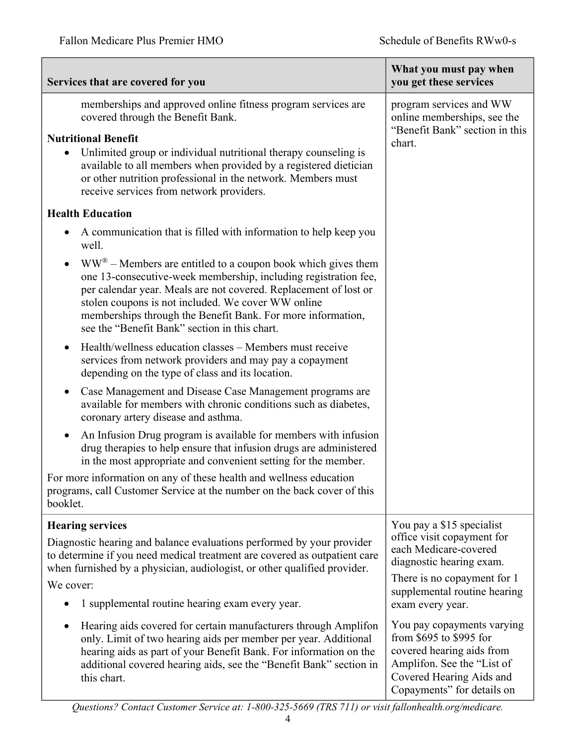| Services that are covered for you                                                                                                                                                                                                                                                                                                                                                                     | What you must pay when<br>you get these services                                                                                                                           |
|-------------------------------------------------------------------------------------------------------------------------------------------------------------------------------------------------------------------------------------------------------------------------------------------------------------------------------------------------------------------------------------------------------|----------------------------------------------------------------------------------------------------------------------------------------------------------------------------|
| memberships and approved online fitness program services are<br>covered through the Benefit Bank.                                                                                                                                                                                                                                                                                                     | program services and WW<br>online memberships, see the                                                                                                                     |
| <b>Nutritional Benefit</b><br>Unlimited group or individual nutritional therapy counseling is<br>۰<br>available to all members when provided by a registered dietician<br>or other nutrition professional in the network. Members must<br>receive services from network providers.                                                                                                                    | "Benefit Bank" section in this<br>chart.                                                                                                                                   |
| <b>Health Education</b>                                                                                                                                                                                                                                                                                                                                                                               |                                                                                                                                                                            |
| A communication that is filled with information to help keep you<br>$\bullet$<br>well.                                                                                                                                                                                                                                                                                                                |                                                                                                                                                                            |
| $WW^{\circledast}$ – Members are entitled to a coupon book which gives them<br>$\bullet$<br>one 13-consecutive-week membership, including registration fee,<br>per calendar year. Meals are not covered. Replacement of lost or<br>stolen coupons is not included. We cover WW online<br>memberships through the Benefit Bank. For more information,<br>see the "Benefit Bank" section in this chart. |                                                                                                                                                                            |
| Health/wellness education classes – Members must receive<br>$\bullet$<br>services from network providers and may pay a copayment<br>depending on the type of class and its location.                                                                                                                                                                                                                  |                                                                                                                                                                            |
| Case Management and Disease Case Management programs are<br>$\bullet$<br>available for members with chronic conditions such as diabetes,<br>coronary artery disease and asthma.                                                                                                                                                                                                                       |                                                                                                                                                                            |
| An Infusion Drug program is available for members with infusion<br>$\bullet$<br>drug therapies to help ensure that infusion drugs are administered<br>in the most appropriate and convenient setting for the member.                                                                                                                                                                                  |                                                                                                                                                                            |
| For more information on any of these health and wellness education<br>programs, call Customer Service at the number on the back cover of this<br>booklet.                                                                                                                                                                                                                                             |                                                                                                                                                                            |
| <b>Hearing services</b>                                                                                                                                                                                                                                                                                                                                                                               | You pay a \$15 specialist                                                                                                                                                  |
| Diagnostic hearing and balance evaluations performed by your provider<br>to determine if you need medical treatment are covered as outpatient care<br>when furnished by a physician, audiologist, or other qualified provider.<br>We cover:                                                                                                                                                           | office visit copayment for<br>each Medicare-covered<br>diagnostic hearing exam.<br>There is no copayment for 1<br>supplemental routine hearing                             |
| 1 supplemental routine hearing exam every year.                                                                                                                                                                                                                                                                                                                                                       | exam every year.                                                                                                                                                           |
| Hearing aids covered for certain manufacturers through Amplifon<br>$\bullet$<br>only. Limit of two hearing aids per member per year. Additional<br>hearing aids as part of your Benefit Bank. For information on the<br>additional covered hearing aids, see the "Benefit Bank" section in<br>this chart.                                                                                             | You pay copayments varying<br>from \$695 to \$995 for<br>covered hearing aids from<br>Amplifon. See the "List of<br>Covered Hearing Aids and<br>Copayments" for details on |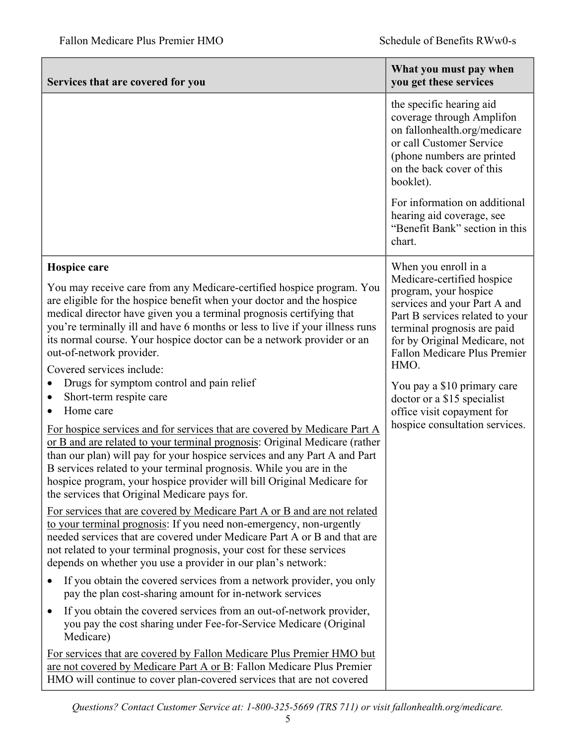| Services that are covered for you                                                                                                                                                                                                                                                                                                                                                                                                                                                                                                                                                                                                                                                                                                                                                                                                                                                                                                                                                                     | What you must pay when<br>you get these services                                                                                                                                                                                                                                                                                                                                            |
|-------------------------------------------------------------------------------------------------------------------------------------------------------------------------------------------------------------------------------------------------------------------------------------------------------------------------------------------------------------------------------------------------------------------------------------------------------------------------------------------------------------------------------------------------------------------------------------------------------------------------------------------------------------------------------------------------------------------------------------------------------------------------------------------------------------------------------------------------------------------------------------------------------------------------------------------------------------------------------------------------------|---------------------------------------------------------------------------------------------------------------------------------------------------------------------------------------------------------------------------------------------------------------------------------------------------------------------------------------------------------------------------------------------|
|                                                                                                                                                                                                                                                                                                                                                                                                                                                                                                                                                                                                                                                                                                                                                                                                                                                                                                                                                                                                       | the specific hearing aid<br>coverage through Amplifon<br>on fallonhealth.org/medicare<br>or call Customer Service<br>(phone numbers are printed<br>on the back cover of this<br>booklet).                                                                                                                                                                                                   |
|                                                                                                                                                                                                                                                                                                                                                                                                                                                                                                                                                                                                                                                                                                                                                                                                                                                                                                                                                                                                       | For information on additional<br>hearing aid coverage, see<br>"Benefit Bank" section in this<br>chart.                                                                                                                                                                                                                                                                                      |
| Hospice care<br>You may receive care from any Medicare-certified hospice program. You<br>are eligible for the hospice benefit when your doctor and the hospice<br>medical director have given you a terminal prognosis certifying that<br>you're terminally ill and have 6 months or less to live if your illness runs<br>its normal course. Your hospice doctor can be a network provider or an<br>out-of-network provider.<br>Covered services include:<br>Drugs for symptom control and pain relief<br>Short-term respite care<br>Home care<br>$\bullet$<br>For hospice services and for services that are covered by Medicare Part A<br>or B and are related to your terminal prognosis: Original Medicare (rather<br>than our plan) will pay for your hospice services and any Part A and Part<br>B services related to your terminal prognosis. While you are in the<br>hospice program, your hospice provider will bill Original Medicare for<br>the services that Original Medicare pays for. | When you enroll in a<br>Medicare-certified hospice<br>program, your hospice<br>services and your Part A and<br>Part B services related to your<br>terminal prognosis are paid<br>for by Original Medicare, not<br><b>Fallon Medicare Plus Premier</b><br>HMO.<br>You pay a \$10 primary care<br>doctor or a \$15 specialist<br>office visit copayment for<br>hospice consultation services. |
| For services that are covered by Medicare Part A or B and are not related<br>to your terminal prognosis: If you need non-emergency, non-urgently<br>needed services that are covered under Medicare Part A or B and that are<br>not related to your terminal prognosis, your cost for these services<br>depends on whether you use a provider in our plan's network:                                                                                                                                                                                                                                                                                                                                                                                                                                                                                                                                                                                                                                  |                                                                                                                                                                                                                                                                                                                                                                                             |
| If you obtain the covered services from a network provider, you only<br>pay the plan cost-sharing amount for in-network services                                                                                                                                                                                                                                                                                                                                                                                                                                                                                                                                                                                                                                                                                                                                                                                                                                                                      |                                                                                                                                                                                                                                                                                                                                                                                             |
| If you obtain the covered services from an out-of-network provider,<br>$\bullet$<br>you pay the cost sharing under Fee-for-Service Medicare (Original<br>Medicare)                                                                                                                                                                                                                                                                                                                                                                                                                                                                                                                                                                                                                                                                                                                                                                                                                                    |                                                                                                                                                                                                                                                                                                                                                                                             |
| For services that are covered by Fallon Medicare Plus Premier HMO but<br>are not covered by Medicare Part A or B: Fallon Medicare Plus Premier<br>HMO will continue to cover plan-covered services that are not covered                                                                                                                                                                                                                                                                                                                                                                                                                                                                                                                                                                                                                                                                                                                                                                               |                                                                                                                                                                                                                                                                                                                                                                                             |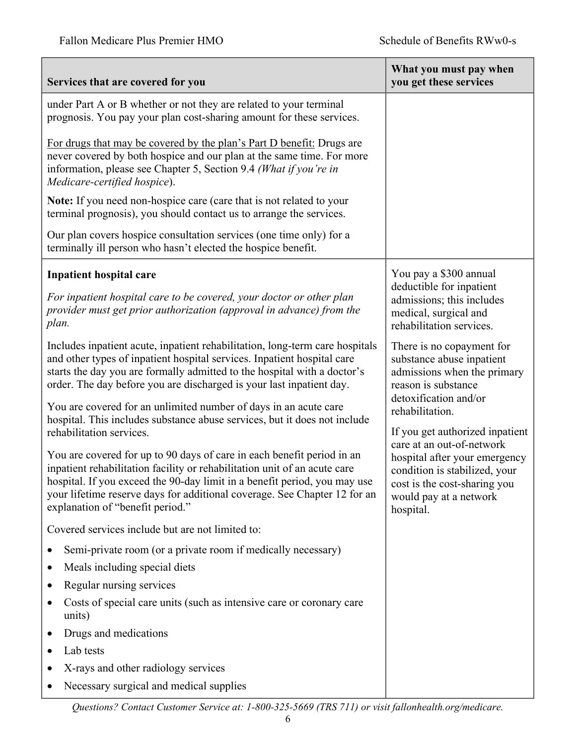| Services that are covered for you                                                                                                                                                                                                                                                                                                                                                                                                                                                                                                                | What you must pay when<br>you get these services                                                                                      |
|--------------------------------------------------------------------------------------------------------------------------------------------------------------------------------------------------------------------------------------------------------------------------------------------------------------------------------------------------------------------------------------------------------------------------------------------------------------------------------------------------------------------------------------------------|---------------------------------------------------------------------------------------------------------------------------------------|
| under Part A or B whether or not they are related to your terminal<br>prognosis. You pay your plan cost-sharing amount for these services.<br>For drugs that may be covered by the plan's Part D benefit: Drugs are<br>never covered by both hospice and our plan at the same time. For more<br>information, please see Chapter 5, Section 9.4 (What if you're in<br>Medicare-certified hospice).<br>Note: If you need non-hospice care (care that is not related to your<br>terminal prognosis), you should contact us to arrange the services. |                                                                                                                                       |
| Our plan covers hospice consultation services (one time only) for a<br>terminally ill person who hasn't elected the hospice benefit.                                                                                                                                                                                                                                                                                                                                                                                                             |                                                                                                                                       |
| <b>Inpatient hospital care</b><br>For inpatient hospital care to be covered, your doctor or other plan<br>provider must get prior authorization (approval in advance) from the<br>plan.                                                                                                                                                                                                                                                                                                                                                          | You pay a \$300 annual<br>deductible for inpatient<br>admissions; this includes<br>medical, surgical and<br>rehabilitation services.  |
| Includes inpatient acute, inpatient rehabilitation, long-term care hospitals<br>and other types of inpatient hospital services. Inpatient hospital care<br>starts the day you are formally admitted to the hospital with a doctor's<br>order. The day before you are discharged is your last inpatient day.                                                                                                                                                                                                                                      | There is no copayment for<br>substance abuse inpatient<br>admissions when the primary<br>reason is substance                          |
| You are covered for an unlimited number of days in an acute care<br>hospital. This includes substance abuse services, but it does not include<br>rehabilitation services.                                                                                                                                                                                                                                                                                                                                                                        | detoxification and/or<br>rehabilitation.<br>If you get authorized inpatient<br>care at an out-of-network                              |
| You are covered for up to 90 days of care in each benefit period in an<br>inpatient rehabilitation facility or rehabilitation unit of an acute care<br>hospital. If you exceed the 90-day limit in a benefit period, you may use<br>your lifetime reserve days for additional coverage. See Chapter 12 for an<br>explanation of "benefit period."                                                                                                                                                                                                | hospital after your emergency<br>condition is stabilized, your<br>cost is the cost-sharing you<br>would pay at a network<br>hospital. |
| Covered services include but are not limited to:                                                                                                                                                                                                                                                                                                                                                                                                                                                                                                 |                                                                                                                                       |
| Semi-private room (or a private room if medically necessary)                                                                                                                                                                                                                                                                                                                                                                                                                                                                                     |                                                                                                                                       |
| Meals including special diets                                                                                                                                                                                                                                                                                                                                                                                                                                                                                                                    |                                                                                                                                       |
| Regular nursing services<br>٠                                                                                                                                                                                                                                                                                                                                                                                                                                                                                                                    |                                                                                                                                       |
| Costs of special care units (such as intensive care or coronary care<br>units)                                                                                                                                                                                                                                                                                                                                                                                                                                                                   |                                                                                                                                       |
| Drugs and medications                                                                                                                                                                                                                                                                                                                                                                                                                                                                                                                            |                                                                                                                                       |
| Lab tests                                                                                                                                                                                                                                                                                                                                                                                                                                                                                                                                        |                                                                                                                                       |
| X-rays and other radiology services                                                                                                                                                                                                                                                                                                                                                                                                                                                                                                              |                                                                                                                                       |
| Necessary surgical and medical supplies                                                                                                                                                                                                                                                                                                                                                                                                                                                                                                          |                                                                                                                                       |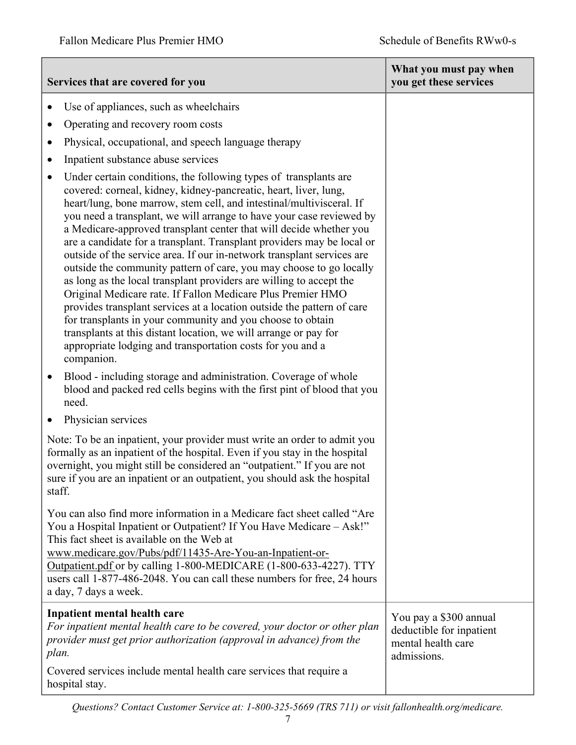|           | Services that are covered for you                                                                                                                                                                                                                                                                                                                                                                                                                                                                                                                                                                                                                                                                                                                                                                                                                                                                                                                                                                                   | What you must pay when<br>you get these services                                        |
|-----------|---------------------------------------------------------------------------------------------------------------------------------------------------------------------------------------------------------------------------------------------------------------------------------------------------------------------------------------------------------------------------------------------------------------------------------------------------------------------------------------------------------------------------------------------------------------------------------------------------------------------------------------------------------------------------------------------------------------------------------------------------------------------------------------------------------------------------------------------------------------------------------------------------------------------------------------------------------------------------------------------------------------------|-----------------------------------------------------------------------------------------|
|           | Use of appliances, such as wheelchairs                                                                                                                                                                                                                                                                                                                                                                                                                                                                                                                                                                                                                                                                                                                                                                                                                                                                                                                                                                              |                                                                                         |
|           | Operating and recovery room costs                                                                                                                                                                                                                                                                                                                                                                                                                                                                                                                                                                                                                                                                                                                                                                                                                                                                                                                                                                                   |                                                                                         |
| $\bullet$ | Physical, occupational, and speech language therapy                                                                                                                                                                                                                                                                                                                                                                                                                                                                                                                                                                                                                                                                                                                                                                                                                                                                                                                                                                 |                                                                                         |
| $\bullet$ | Inpatient substance abuse services                                                                                                                                                                                                                                                                                                                                                                                                                                                                                                                                                                                                                                                                                                                                                                                                                                                                                                                                                                                  |                                                                                         |
| $\bullet$ | Under certain conditions, the following types of transplants are<br>covered: corneal, kidney, kidney-pancreatic, heart, liver, lung,<br>heart/lung, bone marrow, stem cell, and intestinal/multivisceral. If<br>you need a transplant, we will arrange to have your case reviewed by<br>a Medicare-approved transplant center that will decide whether you<br>are a candidate for a transplant. Transplant providers may be local or<br>outside of the service area. If our in-network transplant services are<br>outside the community pattern of care, you may choose to go locally<br>as long as the local transplant providers are willing to accept the<br>Original Medicare rate. If Fallon Medicare Plus Premier HMO<br>provides transplant services at a location outside the pattern of care<br>for transplants in your community and you choose to obtain<br>transplants at this distant location, we will arrange or pay for<br>appropriate lodging and transportation costs for you and a<br>companion. |                                                                                         |
| $\bullet$ | Blood - including storage and administration. Coverage of whole<br>blood and packed red cells begins with the first pint of blood that you<br>need.                                                                                                                                                                                                                                                                                                                                                                                                                                                                                                                                                                                                                                                                                                                                                                                                                                                                 |                                                                                         |
| $\bullet$ | Physician services                                                                                                                                                                                                                                                                                                                                                                                                                                                                                                                                                                                                                                                                                                                                                                                                                                                                                                                                                                                                  |                                                                                         |
| staff.    | Note: To be an inpatient, your provider must write an order to admit you<br>formally as an inpatient of the hospital. Even if you stay in the hospital<br>overnight, you might still be considered an "outpatient." If you are not<br>sure if you are an inpatient or an outpatient, you should ask the hospital                                                                                                                                                                                                                                                                                                                                                                                                                                                                                                                                                                                                                                                                                                    |                                                                                         |
|           | You can also find more information in a Medicare fact sheet called "Are<br>You a Hospital Inpatient or Outpatient? If You Have Medicare - Ask!"<br>This fact sheet is available on the Web at<br>www.medicare.gov/Pubs/pdf/11435-Are-You-an-Inpatient-or-<br>Outpatient.pdf or by calling 1-800-MEDICARE (1-800-633-4227). TTY<br>users call 1-877-486-2048. You can call these numbers for free, 24 hours<br>a day, 7 days a week.                                                                                                                                                                                                                                                                                                                                                                                                                                                                                                                                                                                 |                                                                                         |
| plan.     | Inpatient mental health care<br>For inpatient mental health care to be covered, your doctor or other plan<br>provider must get prior authorization (approval in advance) from the<br>Covered services include mental health care services that require a                                                                                                                                                                                                                                                                                                                                                                                                                                                                                                                                                                                                                                                                                                                                                            | You pay a \$300 annual<br>deductible for inpatient<br>mental health care<br>admissions. |
|           | hospital stay.                                                                                                                                                                                                                                                                                                                                                                                                                                                                                                                                                                                                                                                                                                                                                                                                                                                                                                                                                                                                      |                                                                                         |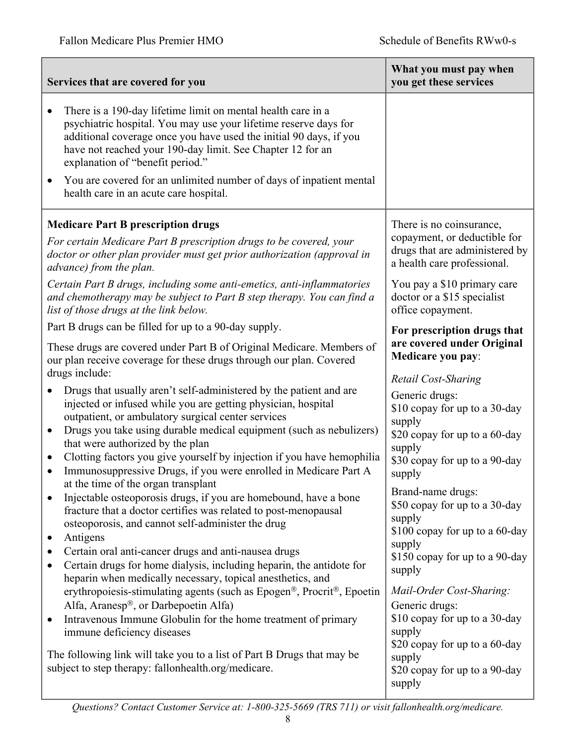| Services that are covered for you                                                                                                                                                                                                                                                                                                                                                                                                                                                                                   | What you must pay when<br>you get these services                                                                                                                                            |
|---------------------------------------------------------------------------------------------------------------------------------------------------------------------------------------------------------------------------------------------------------------------------------------------------------------------------------------------------------------------------------------------------------------------------------------------------------------------------------------------------------------------|---------------------------------------------------------------------------------------------------------------------------------------------------------------------------------------------|
| There is a 190-day lifetime limit on mental health care in a<br>$\bullet$<br>psychiatric hospital. You may use your lifetime reserve days for<br>additional coverage once you have used the initial 90 days, if you<br>have not reached your 190-day limit. See Chapter 12 for an<br>explanation of "benefit period."                                                                                                                                                                                               |                                                                                                                                                                                             |
| You are covered for an unlimited number of days of inpatient mental<br>health care in an acute care hospital.                                                                                                                                                                                                                                                                                                                                                                                                       |                                                                                                                                                                                             |
| <b>Medicare Part B prescription drugs</b>                                                                                                                                                                                                                                                                                                                                                                                                                                                                           | There is no coinsurance,                                                                                                                                                                    |
| For certain Medicare Part B prescription drugs to be covered, your<br>doctor or other plan provider must get prior authorization (approval in<br>advance) from the plan.                                                                                                                                                                                                                                                                                                                                            | copayment, or deductible for<br>drugs that are administered by<br>a health care professional.                                                                                               |
| Certain Part B drugs, including some anti-emetics, anti-inflammatories<br>and chemotherapy may be subject to Part B step therapy. You can find a<br>list of those drugs at the link below.                                                                                                                                                                                                                                                                                                                          | You pay a \$10 primary care<br>doctor or a \$15 specialist<br>office copayment.                                                                                                             |
| Part B drugs can be filled for up to a 90-day supply.                                                                                                                                                                                                                                                                                                                                                                                                                                                               | For prescription drugs that                                                                                                                                                                 |
| These drugs are covered under Part B of Original Medicare. Members of<br>our plan receive coverage for these drugs through our plan. Covered<br>drugs include:                                                                                                                                                                                                                                                                                                                                                      | are covered under Original<br>Medicare you pay:                                                                                                                                             |
| Drugs that usually aren't self-administered by the patient and are<br>injected or infused while you are getting physician, hospital<br>outpatient, or ambulatory surgical center services<br>Drugs you take using durable medical equipment (such as nebulizers)<br>$\bullet$<br>that were authorized by the plan<br>Clotting factors you give yourself by injection if you have hemophilia<br>$\bullet$<br>Immunosuppressive Drugs, if you were enrolled in Medicare Part A<br>at the time of the organ transplant | Retail Cost-Sharing<br>Generic drugs:<br>\$10 copay for up to a 30-day<br>supply<br>\$20 copay for up to a 60-day<br>supply<br>\$30 copay for up to a 90-day<br>supply<br>Brand-name drugs: |
| Injectable osteoporosis drugs, if you are homebound, have a bone<br>fracture that a doctor certifies was related to post-menopausal<br>osteoporosis, and cannot self-administer the drug<br>Antigens<br>$\bullet$<br>Certain oral anti-cancer drugs and anti-nausea drugs<br>Certain drugs for home dialysis, including heparin, the antidote for<br>$\bullet$                                                                                                                                                      | \$50 copay for up to a 30-day<br>supply<br>\$100 copay for up to a 60-day<br>supply<br>\$150 copay for up to a 90-day<br>supply                                                             |
| heparin when medically necessary, topical anesthetics, and<br>erythropoiesis-stimulating agents (such as Epogen®, Procrit®, Epoetin<br>Alfa, Aranesp®, or Darbepoetin Alfa)<br>Intravenous Immune Globulin for the home treatment of primary<br>$\bullet$<br>immune deficiency diseases<br>The following link will take you to a list of Part B Drugs that may be<br>subject to step therapy: fallonhealth.org/medicare.                                                                                            | Mail-Order Cost-Sharing:<br>Generic drugs:<br>\$10 copay for up to a 30-day<br>supply<br>\$20 copay for up to a 60-day<br>supply<br>\$20 copay for up to a 90-day<br>supply                 |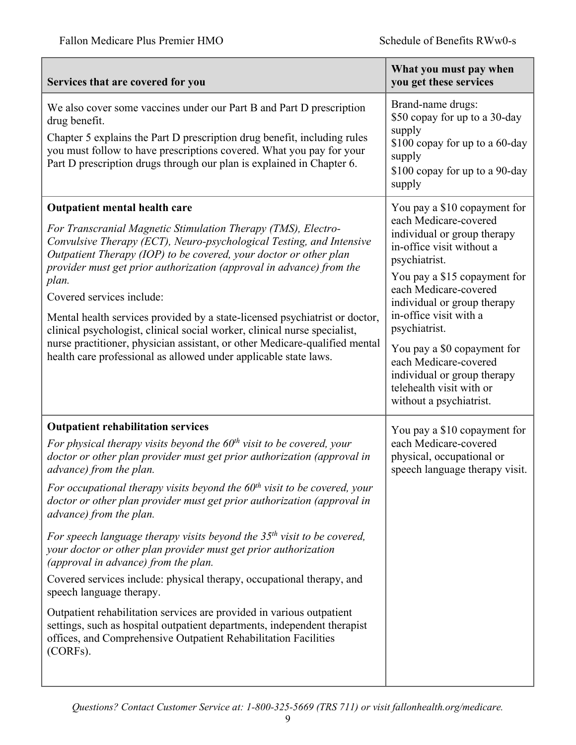| Services that are covered for you                                                                                                                                                                                                                                                                                                                                                                                                                                                                                                                                                                                                                                                                                                                                                                                                                                                                                                                | What you must pay when<br>you get these services                                                                                                                                                                                                                                                                                                                                                                    |
|--------------------------------------------------------------------------------------------------------------------------------------------------------------------------------------------------------------------------------------------------------------------------------------------------------------------------------------------------------------------------------------------------------------------------------------------------------------------------------------------------------------------------------------------------------------------------------------------------------------------------------------------------------------------------------------------------------------------------------------------------------------------------------------------------------------------------------------------------------------------------------------------------------------------------------------------------|---------------------------------------------------------------------------------------------------------------------------------------------------------------------------------------------------------------------------------------------------------------------------------------------------------------------------------------------------------------------------------------------------------------------|
| We also cover some vaccines under our Part B and Part D prescription<br>drug benefit.<br>Chapter 5 explains the Part D prescription drug benefit, including rules<br>you must follow to have prescriptions covered. What you pay for your<br>Part D prescription drugs through our plan is explained in Chapter 6.                                                                                                                                                                                                                                                                                                                                                                                                                                                                                                                                                                                                                               | Brand-name drugs:<br>\$50 copay for up to a 30-day<br>supply<br>\$100 copay for up to a 60-day<br>supply<br>\$100 copay for up to a 90-day<br>supply                                                                                                                                                                                                                                                                |
| <b>Outpatient mental health care</b><br>For Transcranial Magnetic Stimulation Therapy (TMS), Electro-<br>Convulsive Therapy (ECT), Neuro-psychological Testing, and Intensive<br>Outpatient Therapy (IOP) to be covered, your doctor or other plan<br>provider must get prior authorization (approval in advance) from the<br>plan.<br>Covered services include:<br>Mental health services provided by a state-licensed psychiatrist or doctor,<br>clinical psychologist, clinical social worker, clinical nurse specialist,<br>nurse practitioner, physician assistant, or other Medicare-qualified mental<br>health care professional as allowed under applicable state laws.                                                                                                                                                                                                                                                                  | You pay a \$10 copayment for<br>each Medicare-covered<br>individual or group therapy<br>in-office visit without a<br>psychiatrist.<br>You pay a \$15 copayment for<br>each Medicare-covered<br>individual or group therapy<br>in-office visit with a<br>psychiatrist.<br>You pay a \$0 copayment for<br>each Medicare-covered<br>individual or group therapy<br>telehealth visit with or<br>without a psychiatrist. |
| <b>Outpatient rehabilitation services</b><br>For physical therapy visits beyond the $60th$ visit to be covered, your<br>doctor or other plan provider must get prior authorization (approval in<br>advance) from the plan.<br>For occupational therapy visits beyond the $60th$ visit to be covered, your<br>doctor or other plan provider must get prior authorization (approval in<br>advance) from the plan.<br>For speech language therapy visits beyond the $35th$ visit to be covered,<br>your doctor or other plan provider must get prior authorization<br>(approval in advance) from the plan.<br>Covered services include: physical therapy, occupational therapy, and<br>speech language therapy.<br>Outpatient rehabilitation services are provided in various outpatient<br>settings, such as hospital outpatient departments, independent therapist<br>offices, and Comprehensive Outpatient Rehabilitation Facilities<br>(CORFs). | You pay a \$10 copayment for<br>each Medicare-covered<br>physical, occupational or<br>speech language therapy visit.                                                                                                                                                                                                                                                                                                |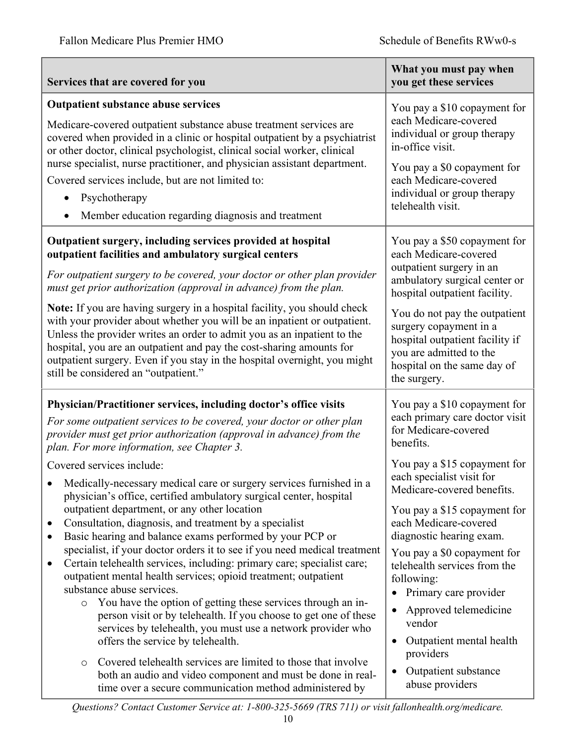| Services that are covered for you                                                                                                                                                                                                                                                                                                                                                                                                                                                                                                                                                                                                                                                                                                                                                                                                                                                                                                                                                                                                                                                                               | What you must pay when<br>you get these services                                                                                                                                                                                                                                                                                                                                                                                                       |
|-----------------------------------------------------------------------------------------------------------------------------------------------------------------------------------------------------------------------------------------------------------------------------------------------------------------------------------------------------------------------------------------------------------------------------------------------------------------------------------------------------------------------------------------------------------------------------------------------------------------------------------------------------------------------------------------------------------------------------------------------------------------------------------------------------------------------------------------------------------------------------------------------------------------------------------------------------------------------------------------------------------------------------------------------------------------------------------------------------------------|--------------------------------------------------------------------------------------------------------------------------------------------------------------------------------------------------------------------------------------------------------------------------------------------------------------------------------------------------------------------------------------------------------------------------------------------------------|
| <b>Outpatient substance abuse services</b><br>Medicare-covered outpatient substance abuse treatment services are<br>covered when provided in a clinic or hospital outpatient by a psychiatrist<br>or other doctor, clinical psychologist, clinical social worker, clinical<br>nurse specialist, nurse practitioner, and physician assistant department.<br>Covered services include, but are not limited to:<br>Psychotherapy<br>Member education regarding diagnosis and treatment                                                                                                                                                                                                                                                                                                                                                                                                                                                                                                                                                                                                                             | You pay a \$10 copayment for<br>each Medicare-covered<br>individual or group therapy<br>in-office visit.<br>You pay a \$0 copayment for<br>each Medicare-covered<br>individual or group therapy<br>telehealth visit.                                                                                                                                                                                                                                   |
| Outpatient surgery, including services provided at hospital<br>outpatient facilities and ambulatory surgical centers<br>For outpatient surgery to be covered, your doctor or other plan provider<br>must get prior authorization (approval in advance) from the plan.<br>Note: If you are having surgery in a hospital facility, you should check<br>with your provider about whether you will be an inpatient or outpatient.<br>Unless the provider writes an order to admit you as an inpatient to the<br>hospital, you are an outpatient and pay the cost-sharing amounts for<br>outpatient surgery. Even if you stay in the hospital overnight, you might<br>still be considered an "outpatient."                                                                                                                                                                                                                                                                                                                                                                                                           | You pay a \$50 copayment for<br>each Medicare-covered<br>outpatient surgery in an<br>ambulatory surgical center or<br>hospital outpatient facility.<br>You do not pay the outpatient<br>surgery copayment in a<br>hospital outpatient facility if<br>you are admitted to the<br>hospital on the same day of<br>the surgery.                                                                                                                            |
| Physician/Practitioner services, including doctor's office visits<br>For some outpatient services to be covered, your doctor or other plan<br>provider must get prior authorization (approval in advance) from the<br>plan. For more information, see Chapter 3.<br>Covered services include:<br>Medically-necessary medical care or surgery services furnished in a<br>physician's office, certified ambulatory surgical center, hospital<br>outpatient department, or any other location<br>Consultation, diagnosis, and treatment by a specialist<br>Basic hearing and balance exams performed by your PCP or<br>$\bullet$<br>specialist, if your doctor orders it to see if you need medical treatment<br>Certain telehealth services, including: primary care; specialist care;<br>$\bullet$<br>outpatient mental health services; opioid treatment; outpatient<br>substance abuse services.<br>You have the option of getting these services through an in-<br>$\circ$<br>person visit or by telehealth. If you choose to get one of these<br>services by telehealth, you must use a network provider who | You pay a \$10 copayment for<br>each primary care doctor visit<br>for Medicare-covered<br>benefits.<br>You pay a \$15 copayment for<br>each specialist visit for<br>Medicare-covered benefits.<br>You pay a \$15 copayment for<br>each Medicare-covered<br>diagnostic hearing exam.<br>You pay a \$0 copayment for<br>telehealth services from the<br>following:<br>Primary care provider<br>$\bullet$<br>Approved telemedicine<br>$\bullet$<br>vendor |
| offers the service by telehealth.<br>Covered telehealth services are limited to those that involve<br>$\circ$<br>both an audio and video component and must be done in real-<br>time over a secure communication method administered by                                                                                                                                                                                                                                                                                                                                                                                                                                                                                                                                                                                                                                                                                                                                                                                                                                                                         | Outpatient mental health<br>$\bullet$<br>providers<br>Outpatient substance<br>$\bullet$<br>abuse providers                                                                                                                                                                                                                                                                                                                                             |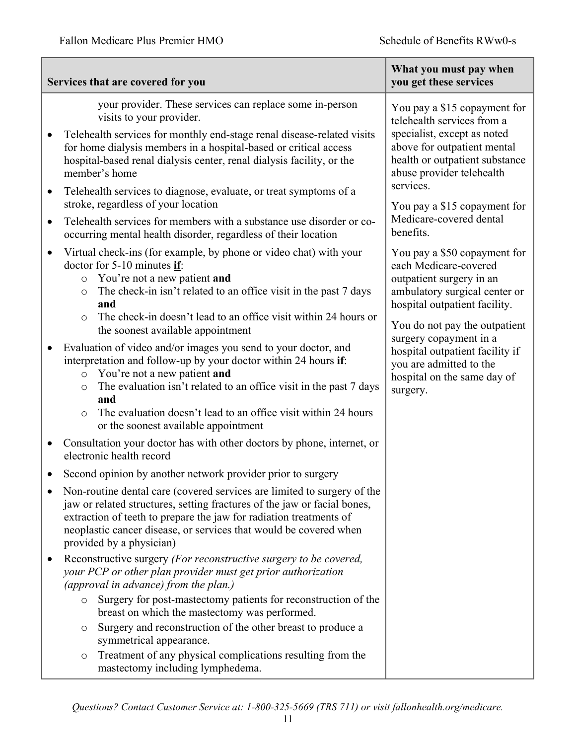|           | Services that are covered for you                                                                                                                                                                                                                                                                                                                                                         | What you must pay when<br>you get these services                                                                                                                                                               |
|-----------|-------------------------------------------------------------------------------------------------------------------------------------------------------------------------------------------------------------------------------------------------------------------------------------------------------------------------------------------------------------------------------------------|----------------------------------------------------------------------------------------------------------------------------------------------------------------------------------------------------------------|
|           | your provider. These services can replace some in-person<br>visits to your provider.<br>Telehealth services for monthly end-stage renal disease-related visits<br>for home dialysis members in a hospital-based or critical access<br>hospital-based renal dialysis center, renal dialysis facility, or the<br>member's home                                                              | You pay a \$15 copayment for<br>telehealth services from a<br>specialist, except as noted<br>above for outpatient mental<br>health or outpatient substance<br>abuse provider telehealth                        |
| $\bullet$ | Telehealth services to diagnose, evaluate, or treat symptoms of a<br>stroke, regardless of your location                                                                                                                                                                                                                                                                                  | services.<br>You pay a \$15 copayment for<br>Medicare-covered dental                                                                                                                                           |
| $\bullet$ | Telehealth services for members with a substance use disorder or co-<br>occurring mental health disorder, regardless of their location                                                                                                                                                                                                                                                    | benefits.                                                                                                                                                                                                      |
| $\bullet$ | Virtual check-ins (for example, by phone or video chat) with your<br>doctor for $5-10$ minutes if:<br>You're not a new patient and<br>$\circ$<br>The check-in isn't related to an office visit in the past 7 days<br>$\circ$<br>and<br>The check-in doesn't lead to an office visit within 24 hours or<br>$\circ$<br>the soonest available appointment                                    | You pay a \$50 copayment for<br>each Medicare-covered<br>outpatient surgery in an<br>ambulatory surgical center or<br>hospital outpatient facility.<br>You do not pay the outpatient<br>surgery copayment in a |
| $\bullet$ | Evaluation of video and/or images you send to your doctor, and<br>interpretation and follow-up by your doctor within 24 hours if:<br>You're not a new patient and<br>$\circ$<br>The evaluation isn't related to an office visit in the past 7 days<br>$\circ$<br>and<br>The evaluation doesn't lead to an office visit within 24 hours<br>$\circ$<br>or the soonest available appointment | hospital outpatient facility if<br>you are admitted to the<br>hospital on the same day of<br>surgery.                                                                                                          |
|           | Consultation your doctor has with other doctors by phone, internet, or<br>electronic health record                                                                                                                                                                                                                                                                                        |                                                                                                                                                                                                                |
|           | Second opinion by another network provider prior to surgery                                                                                                                                                                                                                                                                                                                               |                                                                                                                                                                                                                |
|           | Non-routine dental care (covered services are limited to surgery of the<br>jaw or related structures, setting fractures of the jaw or facial bones,<br>extraction of teeth to prepare the jaw for radiation treatments of<br>neoplastic cancer disease, or services that would be covered when<br>provided by a physician)                                                                |                                                                                                                                                                                                                |
| $\bullet$ | Reconstructive surgery (For reconstructive surgery to be covered,<br>your PCP or other plan provider must get prior authorization<br>(approval in advance) from the plan.)                                                                                                                                                                                                                |                                                                                                                                                                                                                |
|           | Surgery for post-mastectomy patients for reconstruction of the<br>$\circ$<br>breast on which the mastectomy was performed.<br>Surgery and reconstruction of the other breast to produce a<br>$\circ$<br>symmetrical appearance.                                                                                                                                                           |                                                                                                                                                                                                                |
|           | Treatment of any physical complications resulting from the<br>$\circ$<br>mastectomy including lymphedema.                                                                                                                                                                                                                                                                                 |                                                                                                                                                                                                                |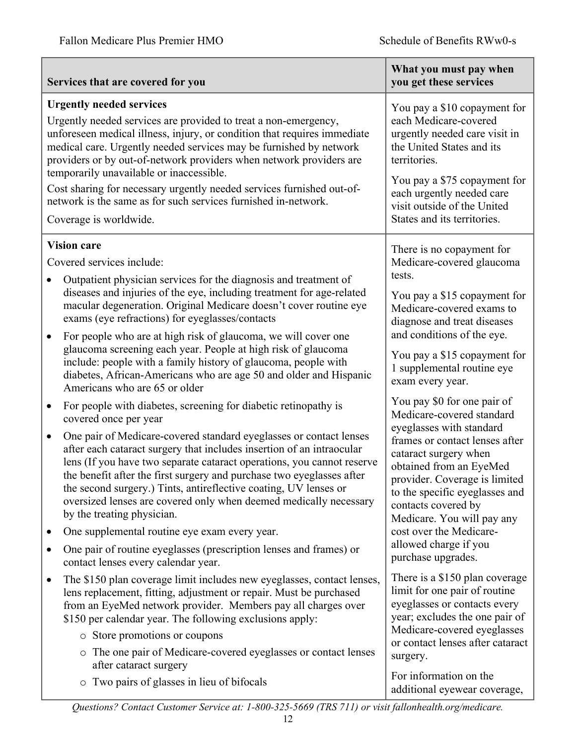| Services that are covered for you                                                                                                                                                                                                                                                                                                                                                                                                                                                                                                                                                                                                                                                                                                                                                                                                                                                                                                                                                                                                                                                                                                                                                                                                                                                                                                                                                                                                                                                                               | What you must pay when<br>you get these services                                                                                                                                                                                                                                                                                                                                                                                                                                                                                                                                                                                                                                               |
|-----------------------------------------------------------------------------------------------------------------------------------------------------------------------------------------------------------------------------------------------------------------------------------------------------------------------------------------------------------------------------------------------------------------------------------------------------------------------------------------------------------------------------------------------------------------------------------------------------------------------------------------------------------------------------------------------------------------------------------------------------------------------------------------------------------------------------------------------------------------------------------------------------------------------------------------------------------------------------------------------------------------------------------------------------------------------------------------------------------------------------------------------------------------------------------------------------------------------------------------------------------------------------------------------------------------------------------------------------------------------------------------------------------------------------------------------------------------------------------------------------------------|------------------------------------------------------------------------------------------------------------------------------------------------------------------------------------------------------------------------------------------------------------------------------------------------------------------------------------------------------------------------------------------------------------------------------------------------------------------------------------------------------------------------------------------------------------------------------------------------------------------------------------------------------------------------------------------------|
| <b>Urgently needed services</b>                                                                                                                                                                                                                                                                                                                                                                                                                                                                                                                                                                                                                                                                                                                                                                                                                                                                                                                                                                                                                                                                                                                                                                                                                                                                                                                                                                                                                                                                                 | You pay a \$10 copayment for                                                                                                                                                                                                                                                                                                                                                                                                                                                                                                                                                                                                                                                                   |
| Urgently needed services are provided to treat a non-emergency,                                                                                                                                                                                                                                                                                                                                                                                                                                                                                                                                                                                                                                                                                                                                                                                                                                                                                                                                                                                                                                                                                                                                                                                                                                                                                                                                                                                                                                                 | each Medicare-covered                                                                                                                                                                                                                                                                                                                                                                                                                                                                                                                                                                                                                                                                          |
| unforeseen medical illness, injury, or condition that requires immediate                                                                                                                                                                                                                                                                                                                                                                                                                                                                                                                                                                                                                                                                                                                                                                                                                                                                                                                                                                                                                                                                                                                                                                                                                                                                                                                                                                                                                                        | urgently needed care visit in                                                                                                                                                                                                                                                                                                                                                                                                                                                                                                                                                                                                                                                                  |
| medical care. Urgently needed services may be furnished by network                                                                                                                                                                                                                                                                                                                                                                                                                                                                                                                                                                                                                                                                                                                                                                                                                                                                                                                                                                                                                                                                                                                                                                                                                                                                                                                                                                                                                                              | the United States and its                                                                                                                                                                                                                                                                                                                                                                                                                                                                                                                                                                                                                                                                      |
| providers or by out-of-network providers when network providers are                                                                                                                                                                                                                                                                                                                                                                                                                                                                                                                                                                                                                                                                                                                                                                                                                                                                                                                                                                                                                                                                                                                                                                                                                                                                                                                                                                                                                                             | territories.                                                                                                                                                                                                                                                                                                                                                                                                                                                                                                                                                                                                                                                                                   |
| temporarily unavailable or inaccessible.                                                                                                                                                                                                                                                                                                                                                                                                                                                                                                                                                                                                                                                                                                                                                                                                                                                                                                                                                                                                                                                                                                                                                                                                                                                                                                                                                                                                                                                                        | You pay a \$75 copayment for                                                                                                                                                                                                                                                                                                                                                                                                                                                                                                                                                                                                                                                                   |
| Cost sharing for necessary urgently needed services furnished out-of-                                                                                                                                                                                                                                                                                                                                                                                                                                                                                                                                                                                                                                                                                                                                                                                                                                                                                                                                                                                                                                                                                                                                                                                                                                                                                                                                                                                                                                           | each urgently needed care                                                                                                                                                                                                                                                                                                                                                                                                                                                                                                                                                                                                                                                                      |
| network is the same as for such services furnished in-network.                                                                                                                                                                                                                                                                                                                                                                                                                                                                                                                                                                                                                                                                                                                                                                                                                                                                                                                                                                                                                                                                                                                                                                                                                                                                                                                                                                                                                                                  | visit outside of the United                                                                                                                                                                                                                                                                                                                                                                                                                                                                                                                                                                                                                                                                    |
| Coverage is worldwide.                                                                                                                                                                                                                                                                                                                                                                                                                                                                                                                                                                                                                                                                                                                                                                                                                                                                                                                                                                                                                                                                                                                                                                                                                                                                                                                                                                                                                                                                                          | States and its territories.                                                                                                                                                                                                                                                                                                                                                                                                                                                                                                                                                                                                                                                                    |
| <b>Vision care</b><br>Covered services include:<br>Outpatient physician services for the diagnosis and treatment of<br>$\bullet$<br>diseases and injuries of the eye, including treatment for age-related<br>macular degeneration. Original Medicare doesn't cover routine eye<br>exams (eye refractions) for eyeglasses/contacts<br>For people who are at high risk of glaucoma, we will cover one<br>$\bullet$<br>glaucoma screening each year. People at high risk of glaucoma<br>include: people with a family history of glaucoma, people with<br>diabetes, African-Americans who are age 50 and older and Hispanic<br>Americans who are 65 or older<br>For people with diabetes, screening for diabetic retinopathy is<br>$\bullet$<br>covered once per year<br>One pair of Medicare-covered standard eyeglasses or contact lenses<br>$\bullet$<br>after each cataract surgery that includes insertion of an intraocular<br>lens (If you have two separate cataract operations, you cannot reserve<br>the benefit after the first surgery and purchase two eyeglasses after<br>the second surgery.) Tints, antireflective coating, UV lenses or<br>oversized lenses are covered only when deemed medically necessary<br>by the treating physician.<br>One supplemental routine eye exam every year.<br>٠<br>One pair of routine eyeglasses (prescription lenses and frames) or<br>٠<br>contact lenses every calendar year.<br>The \$150 plan coverage limit includes new eyeglasses, contact lenses,<br>٠ | There is no copayment for<br>Medicare-covered glaucoma<br>tests.<br>You pay a \$15 copayment for<br>Medicare-covered exams to<br>diagnose and treat diseases<br>and conditions of the eye.<br>You pay a \$15 copayment for<br>1 supplemental routine eye<br>exam every year.<br>You pay \$0 for one pair of<br>Medicare-covered standard<br>eyeglasses with standard<br>frames or contact lenses after<br>cataract surgery when<br>obtained from an EyeMed<br>provider. Coverage is limited<br>to the specific eyeglasses and<br>contacts covered by<br>Medicare. You will pay any<br>cost over the Medicare-<br>allowed charge if you<br>purchase upgrades.<br>There is a \$150 plan coverage |
| lens replacement, fitting, adjustment or repair. Must be purchased                                                                                                                                                                                                                                                                                                                                                                                                                                                                                                                                                                                                                                                                                                                                                                                                                                                                                                                                                                                                                                                                                                                                                                                                                                                                                                                                                                                                                                              | limit for one pair of routine                                                                                                                                                                                                                                                                                                                                                                                                                                                                                                                                                                                                                                                                  |
| from an EyeMed network provider. Members pay all charges over                                                                                                                                                                                                                                                                                                                                                                                                                                                                                                                                                                                                                                                                                                                                                                                                                                                                                                                                                                                                                                                                                                                                                                                                                                                                                                                                                                                                                                                   | eyeglasses or contacts every                                                                                                                                                                                                                                                                                                                                                                                                                                                                                                                                                                                                                                                                   |
| \$150 per calendar year. The following exclusions apply:                                                                                                                                                                                                                                                                                                                                                                                                                                                                                                                                                                                                                                                                                                                                                                                                                                                                                                                                                                                                                                                                                                                                                                                                                                                                                                                                                                                                                                                        | year; excludes the one pair of                                                                                                                                                                                                                                                                                                                                                                                                                                                                                                                                                                                                                                                                 |
| • Store promotions or coupons                                                                                                                                                                                                                                                                                                                                                                                                                                                                                                                                                                                                                                                                                                                                                                                                                                                                                                                                                                                                                                                                                                                                                                                                                                                                                                                                                                                                                                                                                   | Medicare-covered eyeglasses                                                                                                                                                                                                                                                                                                                                                                                                                                                                                                                                                                                                                                                                    |
| o The one pair of Medicare-covered eyeglasses or contact lenses                                                                                                                                                                                                                                                                                                                                                                                                                                                                                                                                                                                                                                                                                                                                                                                                                                                                                                                                                                                                                                                                                                                                                                                                                                                                                                                                                                                                                                                 | or contact lenses after cataract                                                                                                                                                                                                                                                                                                                                                                                                                                                                                                                                                                                                                                                               |
| after cataract surgery                                                                                                                                                                                                                                                                                                                                                                                                                                                                                                                                                                                                                                                                                                                                                                                                                                                                                                                                                                                                                                                                                                                                                                                                                                                                                                                                                                                                                                                                                          | surgery.                                                                                                                                                                                                                                                                                                                                                                                                                                                                                                                                                                                                                                                                                       |
| Two pairs of glasses in lieu of bifocals                                                                                                                                                                                                                                                                                                                                                                                                                                                                                                                                                                                                                                                                                                                                                                                                                                                                                                                                                                                                                                                                                                                                                                                                                                                                                                                                                                                                                                                                        | For information on the                                                                                                                                                                                                                                                                                                                                                                                                                                                                                                                                                                                                                                                                         |
| $\circ$                                                                                                                                                                                                                                                                                                                                                                                                                                                                                                                                                                                                                                                                                                                                                                                                                                                                                                                                                                                                                                                                                                                                                                                                                                                                                                                                                                                                                                                                                                         | additional eyewear coverage,                                                                                                                                                                                                                                                                                                                                                                                                                                                                                                                                                                                                                                                                   |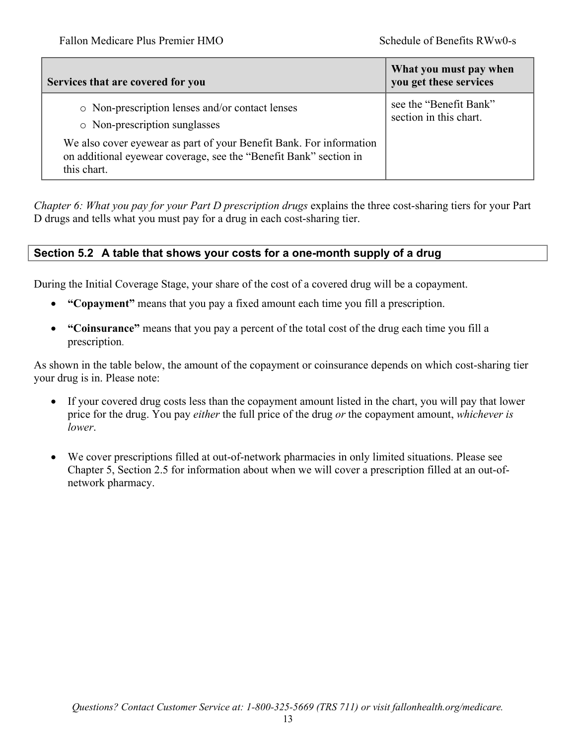| Services that are covered for you                                                                                                                       | What you must pay when<br>you get these services |
|---------------------------------------------------------------------------------------------------------------------------------------------------------|--------------------------------------------------|
| o Non-prescription lenses and/or contact lenses<br>o Non-prescription sunglasses                                                                        | see the "Benefit Bank"<br>section in this chart. |
| We also cover eyewear as part of your Benefit Bank. For information<br>on additional eyewear coverage, see the "Benefit Bank" section in<br>this chart. |                                                  |

*Chapter 6: What you pay for your Part D prescription drugs* explains the three cost-sharing tiers for your Part D drugs and tells what you must pay for a drug in each cost-sharing tier.

## **Section 5.2 A table that shows your costs for a one-month supply of a drug**

During the Initial Coverage Stage, your share of the cost of a covered drug will be a copayment.

- **"Copayment"** means that you pay a fixed amount each time you fill a prescription.
- **"Coinsurance"** means that you pay a percent of the total cost of the drug each time you fill a prescription.

As shown in the table below, the amount of the copayment or coinsurance depends on which cost-sharing tier your drug is in. Please note:

- If your covered drug costs less than the copayment amount listed in the chart, you will pay that lower price for the drug. You pay *either* the full price of the drug *or* the copayment amount, *whichever is lower*.
- We cover prescriptions filled at out-of-network pharmacies in only limited situations. Please see Chapter 5, Section 2.5 for information about when we will cover a prescription filled at an out-ofnetwork pharmacy.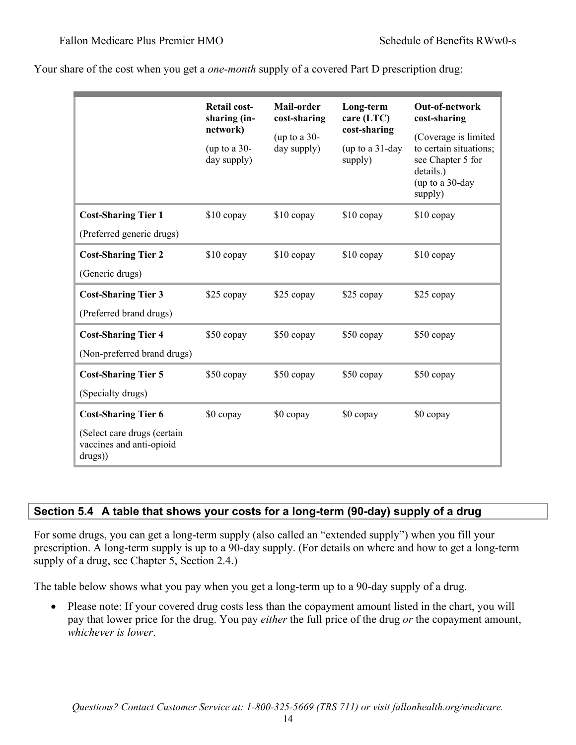|                                                                    | <b>Retail cost-</b><br>sharing (in-<br>network) | Mail-order<br>cost-sharing<br>(up to a $30-$<br>day supply) | Long-term<br>care (LTC)<br>cost-sharing | Out-of-network<br>cost-sharing<br>(Coverage is limited                                 |
|--------------------------------------------------------------------|-------------------------------------------------|-------------------------------------------------------------|-----------------------------------------|----------------------------------------------------------------------------------------|
|                                                                    | (up to a $30-$<br>day supply)                   |                                                             | (up to a $31$ -day<br>supply)           | to certain situations;<br>see Chapter 5 for<br>details.)<br>(up to a 30-day<br>supply) |
| <b>Cost-Sharing Tier 1</b>                                         | \$10 copay                                      | \$10 copay                                                  | \$10 copay                              | \$10 copay                                                                             |
| (Preferred generic drugs)                                          |                                                 |                                                             |                                         |                                                                                        |
| <b>Cost-Sharing Tier 2</b>                                         | \$10 copay                                      | \$10 copay                                                  | $$10$ copay                             | $$10$ copay                                                                            |
| (Generic drugs)                                                    |                                                 |                                                             |                                         |                                                                                        |
| <b>Cost-Sharing Tier 3</b>                                         | \$25 copay                                      | \$25 copay                                                  | \$25 copay                              | \$25 copay                                                                             |
| (Preferred brand drugs)                                            |                                                 |                                                             |                                         |                                                                                        |
| <b>Cost-Sharing Tier 4</b>                                         | \$50 copay                                      | \$50 copay                                                  | \$50 copay                              | \$50 copay                                                                             |
| (Non-preferred brand drugs)                                        |                                                 |                                                             |                                         |                                                                                        |
| <b>Cost-Sharing Tier 5</b>                                         | \$50 copay                                      | \$50 copay                                                  | \$50 copay                              | \$50 copay                                                                             |
| (Specialty drugs)                                                  |                                                 |                                                             |                                         |                                                                                        |
| <b>Cost-Sharing Tier 6</b>                                         | \$0 copay                                       | \$0 copay                                                   | \$0 copay                               | \$0 copay                                                                              |
| (Select care drugs (certain<br>vaccines and anti-opioid<br>drugs)) |                                                 |                                                             |                                         |                                                                                        |

Your share of the cost when you get a *one-month* supply of a covered Part D prescription drug:

## **Section 5.4 A table that shows your costs for a long-term (90-day) supply of a drug**

For some drugs, you can get a long-term supply (also called an "extended supply") when you fill your prescription. A long-term supply is up to a 90*-*day supply. (For details on where and how to get a long-term supply of a drug, see Chapter 5, Section 2.4.)

The table below shows what you pay when you get a long-term up to a 90*-*day supply of a drug.

• Please note: If your covered drug costs less than the copayment amount listed in the chart, you will pay that lower price for the drug. You pay *either* the full price of the drug *or* the copayment amount, *whichever is lower*.